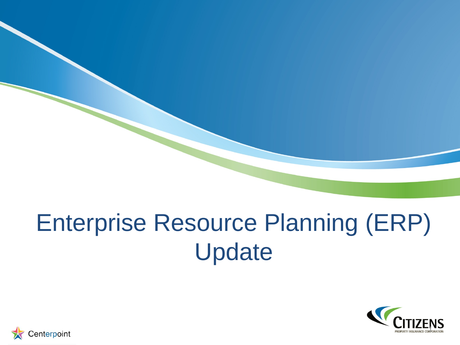# Enterprise Resource Planning (ERP) Update



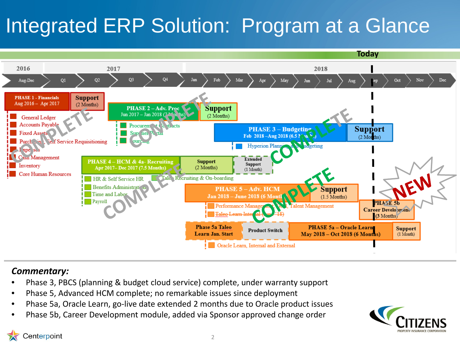# Integrated ERP Solution: Program at a Glance



#### *Commentary:*

- Phase 3, PBCS (planning & budget cloud service) complete, under warranty support
- Phase 5, Advanced HCM complete; no remarkable issues since deployment
- Phase 5a, Oracle Learn, go-live date extended 2 months due to Oracle product issues
- Phase 5b, Career Development module, added via Sponsor approved change order



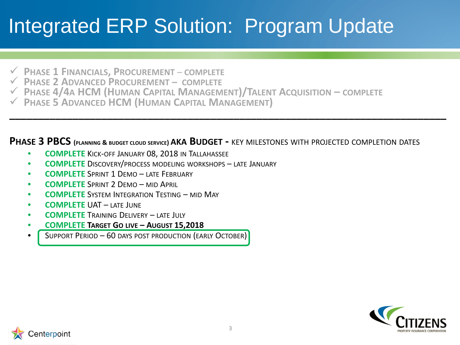## Integrated ERP Solution: Program Update

- **PHASE 1 FINANCIALS, PROCUREMENT COMPLETE**
- **PHASE 2 ADVANCED PROCUREMENT – COMPLETE**
- **PHASE 4/4A HCM (HUMAN CAPITAL MANAGEMENT)/TALENT ACQUISITION – COMPLETE**
- **PHASE 5 ADVANCED HCM (HUMAN CAPITAL MANAGEMENT)**

#### **PHASE 3 PBCS (PLANNING & BUDGET CLOUD SERVICE) AKA BUDGET -** KEY MILESTONES WITH PROJECTED COMPLETION DATES

**\_\_\_\_\_\_\_\_\_\_\_\_\_\_\_\_\_\_\_\_\_\_\_\_\_\_\_\_\_\_\_\_\_\_\_\_\_\_\_\_\_\_\_\_\_\_\_\_\_\_\_\_\_\_\_\_\_\_\_\_\_\_\_\_\_\_\_\_\_\_\_\_\_\_\_\_**

- **COMPLETE** KICK-OFF JANUARY 08, 2018 IN TALLAHASSEE
- **COMPLETE** DISCOVERY/PROCESS MODELING WORKSHOPS LATE JANUARY
- **COMPLETE** SPRINT 1 DEMO LATE FEBRUARY
- **COMPLETE** SPRINT 2 DEMO MID APRIL
- **COMPLETE** SYSTEM INTEGRATION TESTING MID MAY
- **COMPLETE** UAT LATE JUNE
- **COMPLETE** TRAINING DELIVERY LATE JULY
- **COMPLETE TARGET GO LIVE – AUGUST 15,2018**
- SUPPORT PERIOD 60 DAYS POST PRODUCTION (EARLY OCTOBER)



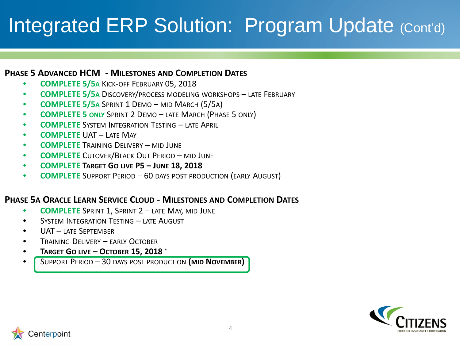### Integrated ERP Solution: Program Update (Cont'd)

#### **PHASE 5 ADVANCED HCM - MILESTONES AND COMPLETION DATES**

- **COMPLETE 5/5A** KICK-OFF FEBRUARY 05, 2018
- **COMPLETE 5/5A** DISCOVERY/PROCESS MODELING WORKSHOPS LATE FEBRUARY
- **COMPLETE 5/5A** SPRINT 1 DEMO MID MARCH (5/5A)
- **COMPLETE 5 ONLY** SPRINT 2 DEMO LATE MARCH (PHASE 5 ONLY)
- **COMPLETE** SYSTEM INTEGRATION TESTING LATE APRIL
- **COMPLETE** UAT LATE MAY
- **COMPLETE** TRAINING DELIVERY MID JUNE
- **COMPLETE** CUTOVER/BLACK OUT PERIOD MID JUNE
- **COMPLETE TARGET GO LIVE P5 – JUNE 18, 2018**
- **COMPLETE** SUPPORT PERIOD 60 DAYS POST PRODUCTION (EARLY AUGUST)

#### **PHASE 5A ORACLE LEARN SERVICE CLOUD - MILESTONES AND COMPLETION DATES**

- **COMPLETE** SPRINT 1, SPRINT 2 LATE MAY, MID JUNE
- SYSTEM INTEGRATION TESTING LATE AUGUST
- UAT LATE SEPTEMBER
- **TRAINING DELIVERY FARLY OCTOBER**
- **TARGET GO LIVE – OCTOBER 15, 2018 \***
- SUPPORT PERIOD 30 DAYS POST PRODUCTION **(MID NOVEMBER)**



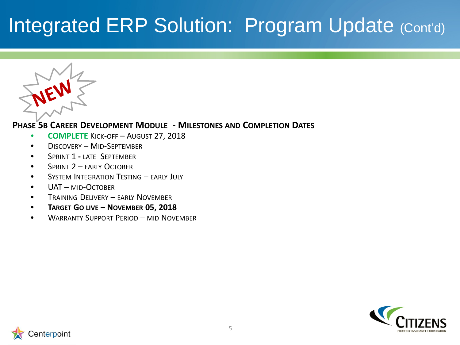### Integrated ERP Solution: Program Update (Cont'd)



#### **PHASE 5B CAREER DEVELOPMENT MODULE - MILESTONES AND COMPLETION DATES**

- **COMPLETE** KICK-OFF AUGUST 27, 2018
- DISCOVERY MID-SEPTEMBER
- SPRINT 1 **-** LATE SEPTEMBER
- SPRINT 2 FARIY OCTOBER
- SYSTEM INTEGRATION TESTING EARLY JULY
- UAT MID-OCTOBER
- **TRAINING DELIVERY EARLY NOVEMBER**
- **TARGET GO LIVE – NOVEMBER 05, 2018**
- WARRANTY SUPPORT PERIOD MID NOVEMBER



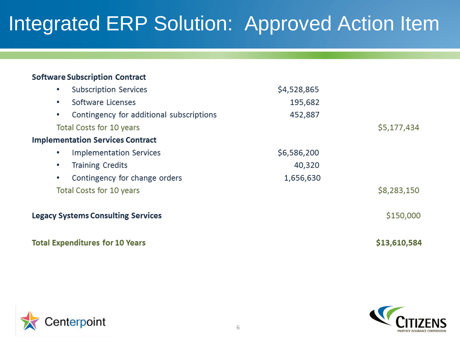## Integrated ERP Solution: Approved Action Item

#### **Software Subscription Contract**

|   | <b>Total Expenditures for 10 Years</b>    |                                                          | \$13,610,584 |
|---|-------------------------------------------|----------------------------------------------------------|--------------|
|   | <b>Legacy Systems Consulting Services</b> | 195,682<br>452,887<br>\$6,586,200<br>40,320<br>1,656,630 | \$150,000    |
|   | Total Costs for 10 years                  |                                                          | \$8,283,150  |
| ٠ | Contingency for change orders             |                                                          |              |
| ۰ | <b>Training Credits</b>                   |                                                          |              |
| ۰ | <b>Implementation Services</b>            |                                                          |              |
|   | <b>Implementation Services Contract</b>   |                                                          |              |
|   | Total Costs for 10 years                  |                                                          | \$5,177,434  |
|   | Contingency for additional subscriptions  |                                                          |              |
| ٠ | Software Licenses                         |                                                          |              |
|   | <b>Subscription Services</b>              | \$4,528,865                                              |              |



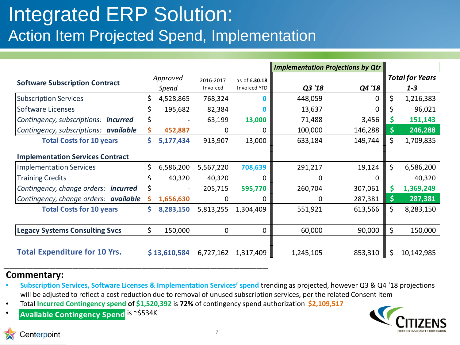### Integrated ERP Solution: Action Item Projected Spend, Implementation

|                                         |          |                   |                       |                                      | <b>Implementation Projections by Qtr</b> |          |          |                                   |
|-----------------------------------------|----------|-------------------|-----------------------|--------------------------------------|------------------------------------------|----------|----------|-----------------------------------|
| <b>Software Subscription Contract</b>   |          | Approved<br>Spend | 2016-2017<br>Invoiced | as of 6.30.18<br><b>Invoiced YTD</b> | Q3 '18                                   | Q4'18    |          | <b>Total for Years</b><br>$1 - 3$ |
| <b>Subscription Services</b>            | \$.      | 4,528,865         | 768,324               | n                                    | 448,059                                  | $\Omega$ | \$       | 1,216,383                         |
| <b>Software Licenses</b>                | S        | 195,682           | 82,384                |                                      | 13,637                                   | 0        | \$       | 96,021                            |
| Contingency, subscriptions: incurred    | \$       |                   | 63,199                | 13,000                               | 71,488                                   | 3,456    | \$       | 151,143                           |
| Contingency, subscriptions: available   | S.       | 452,887           | 0                     | 0                                    | 100,000                                  | 146,288  | S.       | 246,288                           |
| <b>Total Costs for 10 years</b>         | Ś.       | 5,177,434         | 913,907               | 13,000                               | 633,184                                  | 149,744  | $\zeta$  | 1,709,835                         |
| <b>Implementation Services Contract</b> |          |                   |                       |                                      |                                          |          |          |                                   |
| <b>Implementation Services</b>          | Ś.       | 6,586,200         | 5,567,220             | 708,639                              | 291,217                                  | 19,124   | $\zeta$  | 6,586,200                         |
| <b>Training Credits</b>                 |          | 40,320            | 40,320                | 0                                    | 0                                        | 0        |          | 40,320                            |
| Contingency, change orders: incurred    | \$       | $\blacksquare$    | 205,715               | 595,770                              | 260,704                                  | 307,061  | <b>S</b> | 1,369,249                         |
| Contingency, change orders: available   | <b>S</b> | 1,656,630         | 0                     | 0                                    | 0                                        | 287,381  |          | 287,381                           |
| <b>Total Costs for 10 years</b>         | S.       | 8,283,150         | 5,813,255             | 1,304,409                            | 551,921                                  | 613,566  | $\zeta$  | 8,283,150                         |
|                                         |          |                   |                       |                                      |                                          |          |          |                                   |
| <b>Legacy Systems Consulting Svcs</b>   | \$.      | 150,000           | 0                     | 0                                    | 60,000                                   | 90,000   | $\zeta$  | 150,000                           |
| <b>Total Expenditure for 10 Yrs.</b>    |          | \$13,610,584      | 6,727,162             | 1,317,409                            | 1,245,105                                | 853,310  | \$       | 10,142,985                        |

#### **Commentary:**

- **Subscription Services, Software Licenses & Implementation Services' spend** trending as projected, however Q3 & Q4 '18 projections will be adjusted to reflect a cost reduction due to removal of unused subscription services, per the related Consent Item
- Total **Incurred Contingency spend of \$1,520,392** is **72%** of contingency spend authorization **\$2,109,517**
- **Avaliable Contingency Spend is** ~\$534K



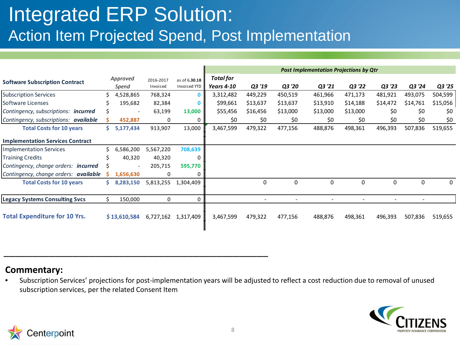### Integrated ERP Solution: Action Item Projected Spend, Post Implementation

\_\_\_\_\_\_\_\_\_\_\_\_\_\_\_\_\_\_\_\_\_\_\_\_\_\_\_\_\_\_\_\_\_\_\_\_\_\_\_\_\_\_\_\_\_\_

|                                              |    |                          |                       |                               | <b>Post Implementation Projections by Qtr</b> |                          |                          |                          |                          |                          |          |          |
|----------------------------------------------|----|--------------------------|-----------------------|-------------------------------|-----------------------------------------------|--------------------------|--------------------------|--------------------------|--------------------------|--------------------------|----------|----------|
| <b>Software Subscription Contract</b>        |    | Approved<br>Spend        | 2016-2017<br>Invoiced | as of 6.30.18<br>Invoiced YTD | Total for                                     |                          |                          |                          |                          |                          |          |          |
|                                              |    |                          |                       |                               | <b>Years 4-10</b>                             | Q3 '19                   | Q3 '20                   | Q3 '21                   | Q3 '22                   | Q3 '23                   | Q3 '24   | Q3 '25   |
| <b>Subscription Services</b>                 |    | 4,528,865                | 768,324               | $\mathbf{0}$                  | 3,312,482                                     | 449,229                  | 450,519                  | 461,966                  | 471,173                  | 481,921                  | 493,075  | 504,599  |
| Software Licenses                            |    | 195,682                  | 82,384                | 0                             | \$99,661                                      | \$13,637                 | \$13,637                 | \$13,910                 | \$14,188                 | \$14,472                 | \$14,761 | \$15,056 |
| Contingency, subscriptions: <b>incurred</b>  |    | $\overline{a}$           | 63,199                | 13,000                        | \$55,456                                      | \$16,456                 | \$13,000                 | \$13,000                 | \$13,000                 | \$0                      | \$0      | \$0      |
| Contingency, subscriptions: <b>available</b> |    | 452,887                  | 0                     | 0                             | \$0                                           | \$0                      | \$0                      | \$0                      | \$0                      | \$0                      | \$0      | \$0      |
| <b>Total Costs for 10 years</b>              | Ś. | 5,177,434                | 913,907               | 13,000                        | 3,467,599                                     | 479,322                  | 477,156                  | 488,876                  | 498,361                  | 496,393                  | 507,836  | 519,655  |
| <b>Implementation Services Contract</b>      |    |                          |                       |                               |                                               |                          |                          |                          |                          |                          |          |          |
| <b>Implementation Services</b>               |    | 6,586,200                | 5,567,220             | 708,639                       |                                               |                          |                          |                          |                          |                          |          |          |
| <b>Training Credits</b>                      |    | 40,320                   | 40,320                | 0                             |                                               |                          |                          |                          |                          |                          |          |          |
| Contingency, change orders: <b>incurred</b>  |    | $\overline{\phantom{a}}$ | 205,715               | 595,770                       |                                               |                          |                          |                          |                          |                          |          |          |
| Contingency, change orders: <b>available</b> |    | 1,656,630                | 0                     | 0                             |                                               |                          |                          |                          |                          |                          |          |          |
| <b>Total Costs for 10 years</b>              | Ś. | 8,283,150                | 5,813,255             | 1,304,409                     |                                               | 0                        | 0                        | $\mathbf 0$              | $\mathbf 0$              | 0                        | 0        | 0        |
| <b>Legacy Systems Consulting Svcs</b>        |    | 150,000                  | 0                     | 0                             |                                               | $\overline{\phantom{a}}$ | $\overline{\phantom{a}}$ | $\overline{\phantom{a}}$ | $\overline{\phantom{a}}$ | $\overline{\phantom{a}}$ |          |          |
| <b>Total Expenditure for 10 Yrs.</b>         |    | \$13,610,584             |                       | 6,727,162 1,317,409           | 3,467,599                                     | 479,322                  | 477,156                  | 488,876                  | 498,361                  | 496,393                  | 507,836  | 519,655  |

#### **Commentary:**

• Subscription Services' projections for post-implementation years will be adjusted to reflect a cost reduction due to removal of unused subscription services, per the related Consent Item